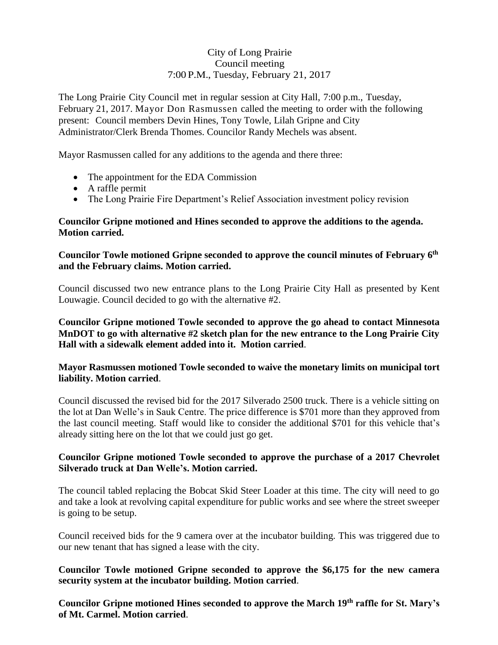# City of Long Prairie Council meeting 7:00 P.M., Tuesday, February 21, 2017

The Long Prairie City Council met in regular session at City Hall, 7:00 p.m., Tuesday, February 21, 2017. Mayor Don Rasmussen called the meeting to order with the following present: Council members Devin Hines, Tony Towle, Lilah Gripne and City Administrator/Clerk Brenda Thomes. Councilor Randy Mechels was absent.

Mayor Rasmussen called for any additions to the agenda and there three:

- The appointment for the EDA Commission
- A raffle permit
- The Long Prairie Fire Department's Relief Association investment policy revision

### **Councilor Gripne motioned and Hines seconded to approve the additions to the agenda. Motion carried.**

## **Councilor Towle motioned Gripne seconded to approve the council minutes of February 6th and the February claims. Motion carried.**

Council discussed two new entrance plans to the Long Prairie City Hall as presented by Kent Louwagie. Council decided to go with the alternative #2.

**Councilor Gripne motioned Towle seconded to approve the go ahead to contact Minnesota MnDOT to go with alternative #2 sketch plan for the new entrance to the Long Prairie City Hall with a sidewalk element added into it. Motion carried**.

### **Mayor Rasmussen motioned Towle seconded to waive the monetary limits on municipal tort liability. Motion carried**.

Council discussed the revised bid for the 2017 Silverado 2500 truck. There is a vehicle sitting on the lot at Dan Welle's in Sauk Centre. The price difference is \$701 more than they approved from the last council meeting. Staff would like to consider the additional \$701 for this vehicle that's already sitting here on the lot that we could just go get.

### **Councilor Gripne motioned Towle seconded to approve the purchase of a 2017 Chevrolet Silverado truck at Dan Welle's. Motion carried.**

The council tabled replacing the Bobcat Skid Steer Loader at this time. The city will need to go and take a look at revolving capital expenditure for public works and see where the street sweeper is going to be setup.

Council received bids for the 9 camera over at the incubator building. This was triggered due to our new tenant that has signed a lease with the city.

### **Councilor Towle motioned Gripne seconded to approve the \$6,175 for the new camera security system at the incubator building. Motion carried**.

**Councilor Gripne motioned Hines seconded to approve the March 19th raffle for St. Mary's of Mt. Carmel. Motion carried**.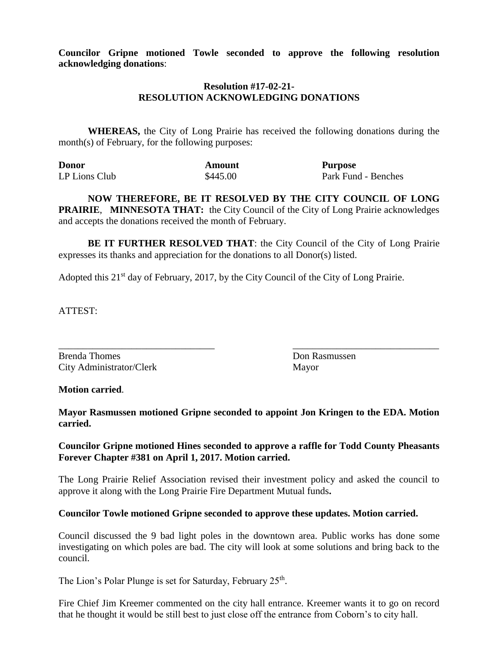**Councilor Gripne motioned Towle seconded to approve the following resolution acknowledging donations**:

#### **Resolution #17-02-21- RESOLUTION ACKNOWLEDGING DONATIONS**

**WHEREAS,** the City of Long Prairie has received the following donations during the month(s) of February, for the following purposes:

| <b>Donor</b>  | Amount   | <b>Purpose</b>      |
|---------------|----------|---------------------|
| LP Lions Club | \$445.00 | Park Fund - Benches |

**NOW THEREFORE, BE IT RESOLVED BY THE CITY COUNCIL OF LONG PRAIRIE**, **MINNESOTA THAT:** the City Council of the City of Long Prairie acknowledges and accepts the donations received the month of February.

**BE IT FURTHER RESOLVED THAT:** the City Council of the City of Long Prairie expresses its thanks and appreciation for the donations to all Donor(s) listed.

Adopted this  $21<sup>st</sup>$  day of February, 2017, by the City Council of the City of Long Prairie.

ATTEST:

Brenda Thomes **Don Rasmussen** City Administrator/Clerk Mayor

**Motion carried**.

**Mayor Rasmussen motioned Gripne seconded to appoint Jon Kringen to the EDA. Motion carried.**

\_\_\_\_\_\_\_\_\_\_\_\_\_\_\_\_\_\_\_\_\_\_\_\_\_\_\_\_\_\_\_\_ \_\_\_\_\_\_\_\_\_\_\_\_\_\_\_\_\_\_\_\_\_\_\_\_\_\_\_\_\_\_

#### **Councilor Gripne motioned Hines seconded to approve a raffle for Todd County Pheasants Forever Chapter #381 on April 1, 2017. Motion carried.**

The Long Prairie Relief Association revised their investment policy and asked the council to approve it along with the Long Prairie Fire Department Mutual funds**.** 

#### **Councilor Towle motioned Gripne seconded to approve these updates. Motion carried.**

Council discussed the 9 bad light poles in the downtown area. Public works has done some investigating on which poles are bad. The city will look at some solutions and bring back to the council.

The Lion's Polar Plunge is set for Saturday, February 25<sup>th</sup>.

Fire Chief Jim Kreemer commented on the city hall entrance. Kreemer wants it to go on record that he thought it would be still best to just close off the entrance from Coborn's to city hall.